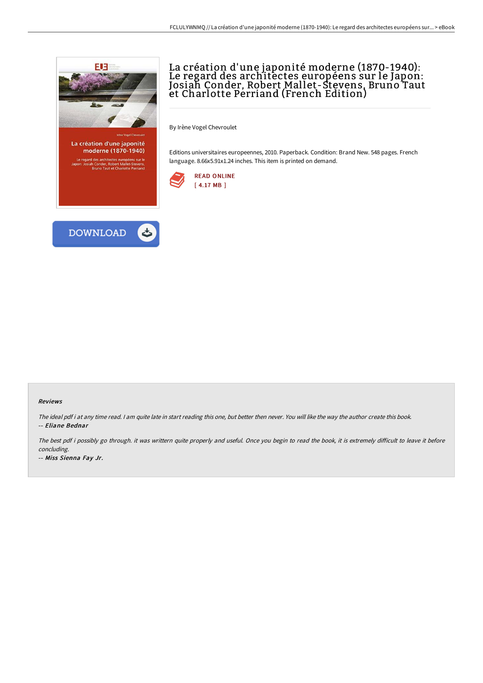

moderne (1870-1940) e regard des architectes européens sur le<br>on: Josiah Conder, Robert Mallet-Stevens,<br>Bruno Taut et Charlotte Perriand

# La création d'une japonité moderne (1870-1940): Le regard des architectes européens sur le Japon: Josiah Conder, Robert Mallet-Stevens, Bruno Taut et Charlotte Perriand (French Edition)

By Irène Vogel Chevroulet

Editions universitaires europeennes, 2010. Paperback. Condition: Brand New. 548 pages. French language. 8.66x5.91x1.24 inches. This item is printed on demand.





#### Reviews

The ideal pdf i at any time read. <sup>I</sup> am quite late in start reading this one, but better then never. You will like the way the author create this book. -- Eliane Bednar

The best pdf i possibly go through. it was writtern quite properly and useful. Once you begin to read the book, it is extremely difficult to leave it before concluding.

-- Miss Sienna Fay Jr.